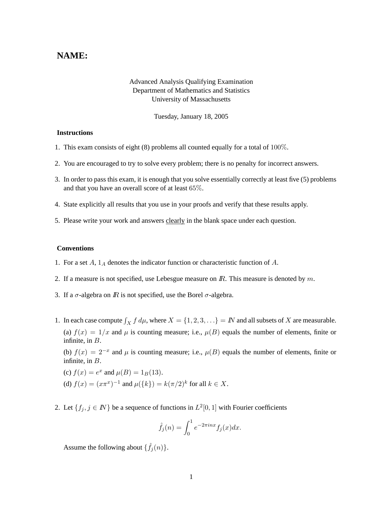## **NAME:**

## Advanced Analysis Qualifying Examination Department of Mathematics and Statistics University of Massachusetts

Tuesday, January 18, 2005

## **Instructions**

- 1. This exam consists of eight (8) problems all counted equally for a total of 100%.
- 2. You are encouraged to try to solve every problem; there is no penalty for incorrect answers.
- 3. In order to pass this exam, it is enough that you solve essentially correctly at least five (5) problems and that you have an overall score of at least 65%.
- 4. State explicitly all results that you use in your proofs and verify that these results apply.
- 5. Please write your work and answers clearly in the blank space under each question.

## **Conventions**

- 1. For a set  $A$ ,  $1_A$  denotes the indicator function or characteristic function of  $A$ .
- 2. If a measure is not specified, use Lebesgue measure on  $\mathbb{R}$ . This measure is denoted by  $m$ .
- 3. If a  $\sigma$ -algebra on  $\mathbb R$  is not specified, use the Borel  $\sigma$ -algebra.
- 1. In each case compute  $\int_X f d\mu$ , where  $X = \{1, 2, 3, ...\} = N$  and all subsets of X are measurable. (a)  $f(x) = 1/x$  and  $\mu$  is counting measure; i.e.,  $\mu(B)$  equals the number of elements, finite or infinite, in B.

(b)  $f(x) = 2^{-x}$  and  $\mu$  is counting measure; i.e.,  $\mu(B)$  equals the number of elements, finite or infinite, in B.

- (c)  $f(x) = e^x$  and  $\mu(B) = 1_B(13)$ . (d)  $f(x) = (x\pi^x)^{-1}$  and  $\mu({k}) = k(\pi/2)^k$  for all  $k \in X$ .
- 2. Let  $\{f_j, j \in \mathbb{N}\}\$  be a sequence of functions in  $L^2[0, 1]$  with Fourier coefficients

$$
\hat{f}_j(n) = \int_0^1 e^{-2\pi i n x} f_j(x) dx.
$$

Assume the following about  $\{\hat{f}_j(n)\}.$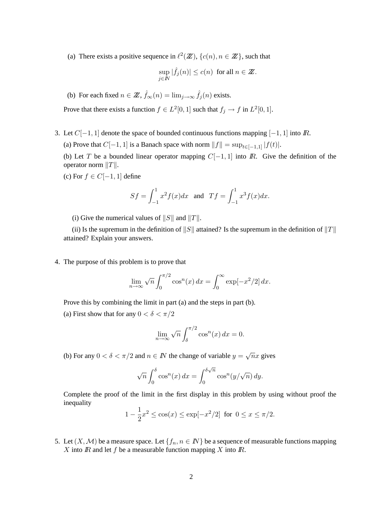(a) There exists a positive sequence in  $\ell^2(\mathbb{Z})$ ,  $\{c(n), n \in \mathbb{Z}\}\)$ , such that

$$
\sup_{j\in I\!\!N}|\widehat{f}_j(n)|\leq c(n) \ \ \text{for all} \ n\in Z\!\!\!Z.
$$

(b) For each fixed  $n \in \mathbb{Z}$ ,  $\hat{f}_{\infty}(n) = \lim_{j \to \infty} \hat{f}_j(n)$  exists.

Prove that there exists a function  $f \in L^2[0,1]$  such that  $f_j \to f$  in  $L^2[0,1]$ .

- 3. Let  $C[-1, 1]$  denote the space of bounded continuous functions mapping  $[-1, 1]$  into  $\mathbb{R}$ .
	- (a) Prove that  $C[-1, 1]$  is a Banach space with norm  $||f|| = \sup_{t \in [-1,1]} |f(t)|$ .

(b) Let T be a bounded linear operator mapping  $C[-1, 1]$  into  $\mathbb{R}$ . Give the definition of the operator norm  $||T||$ .

(c) For  $f \in C[-1, 1]$  define

$$
Sf = \int_{-1}^{1} x^2 f(x) dx
$$
 and  $Tf = \int_{-1}^{1} x^3 f(x) dx$ .

(i) Give the numerical values of  $||S||$  and  $||T||$ .

(ii) Is the supremum in the definition of  $||S||$  attained? Is the supremum in the definition of  $||T||$ attained? Explain your answers.

4. The purpose of this problem is to prove that

$$
\lim_{n \to \infty} \sqrt{n} \int_0^{\pi/2} \cos^n(x) \, dx = \int_0^\infty \exp[-x^2/2] \, dx.
$$

Prove this by combining the limit in part (a) and the steps in part (b).

(a) First show that for any  $0 < \delta < \pi/2$ 

$$
\lim_{n \to \infty} \sqrt{n} \int_{\delta}^{\pi/2} \cos^n(x) \, dx = 0.
$$

(b) For any  $0 < \delta < \pi/2$  and  $n \in \mathbb{N}$  the change of variable  $y = \sqrt{n}x$  gives

$$
\sqrt{n} \int_0^\delta \cos^n(x) \, dx = \int_0^{\delta \sqrt{n}} \cos^n(y/\sqrt{n}) \, dy.
$$

Complete the proof of the limit in the first display in this problem by using without proof the inequality

$$
1 - \frac{1}{2}x^2 \le \cos(x) \le \exp[-x^2/2]
$$
 for  $0 \le x \le \pi/2$ .

5. Let  $(X, \mathcal{M})$  be a measure space. Let  $\{f_n, n \in \mathbb{N}\}\$  be a sequence of measurable functions mapping X into  $\mathbb R$  and let  $f$  be a measurable function mapping  $X$  into  $\mathbb R$ .